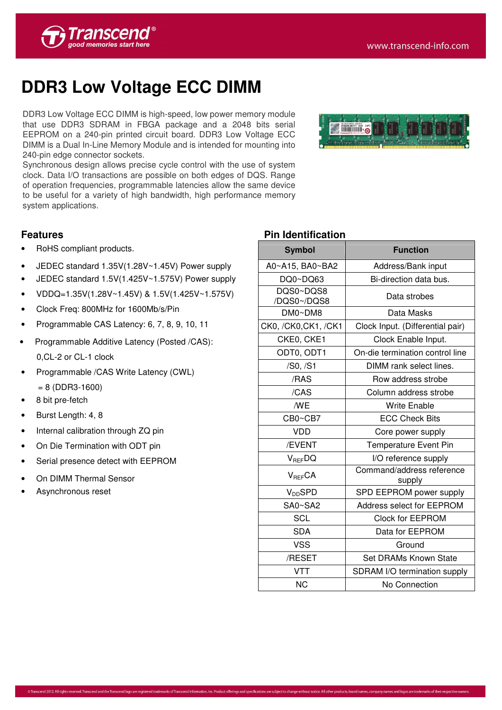

## **DDR3 Low Voltage ECC DIMM**

DDR3 Low Voltage ECC DIMM is high-speed, low power memory module that use DDR3 SDRAM in FBGA package and a 2048 bits serial EEPROM on a 240-pin printed circuit board. DDR3 Low Voltage ECC DIMM is a Dual In-Line Memory Module and is intended for mounting into 240-pin edge connector sockets.

Synchronous design allows precise cycle control with the use of system clock. Data I/O transactions are possible on both edges of DQS. Range of operation frequencies, programmable latencies allow the same device to be useful for a variety of high bandwidth, high performance memory system applications.



- RoHS compliant products.
- JEDEC standard 1.35V(1.28V~1.45V) Power supply
- JEDEC standard 1.5V(1.425V~1.575V) Power supply
- VDDQ=1.35V(1.28V~1.45V) & 1.5V(1.425V~1.575V)
- Clock Freq: 800MHz for 1600Mb/s/Pin
- Programmable CAS Latency: 6, 7, 8, 9, 10, 11
- Programmable Additive Latency (Posted /CAS): 0,CL-2 or CL-1 clock
- Programmable /CAS Write Latency (CWL)  $= 8$  (DDR3-1600)
- 8 bit pre-fetch
- Burst Length: 4, 8
- Internal calibration through ZQ pin
- On Die Termination with ODT pin
- Serial presence detect with EEPROM
- On DIMM Thermal Sensor
- Asynchronous reset



## **Pin Identification**

| <b>Symbol</b>            | <b>Function</b>                     |  |  |  |  |  |
|--------------------------|-------------------------------------|--|--|--|--|--|
| A0~A15, BA0~BA2          | Address/Bank input                  |  |  |  |  |  |
| DQ0~DQ63                 | Bi-direction data bus.              |  |  |  |  |  |
| DQS0~DQS8<br>/DQS0~/DQS8 | Data strobes                        |  |  |  |  |  |
| DM0~DM8                  | Data Masks                          |  |  |  |  |  |
| CK0, /CK0, CK1, /CK1     | Clock Input. (Differential pair)    |  |  |  |  |  |
| CKE0, CKE1               | Clock Enable Input.                 |  |  |  |  |  |
| ODT0, ODT1               | On-die termination control line     |  |  |  |  |  |
| /S0, /S1                 | DIMM rank select lines.             |  |  |  |  |  |
| /RAS                     | Row address strobe                  |  |  |  |  |  |
| /CAS                     | Column address strobe               |  |  |  |  |  |
| /WE                      | <b>Write Enable</b>                 |  |  |  |  |  |
| CB0~CB7                  | <b>ECC Check Bits</b>               |  |  |  |  |  |
| <b>VDD</b>               | Core power supply                   |  |  |  |  |  |
| /EVENT                   | <b>Temperature Event Pin</b>        |  |  |  |  |  |
| <b>V<sub>REF</sub>DQ</b> | I/O reference supply                |  |  |  |  |  |
| $V_{BFF}CA$              | Command/address reference<br>supply |  |  |  |  |  |
| $V_{DD}$ SPD             | SPD EEPROM power supply             |  |  |  |  |  |
| SA0~SA2                  | Address select for EEPROM           |  |  |  |  |  |
| <b>SCL</b>               | <b>Clock for EEPROM</b>             |  |  |  |  |  |
| <b>SDA</b>               | Data for EEPROM                     |  |  |  |  |  |
| <b>VSS</b>               | Ground                              |  |  |  |  |  |
| /RESET                   | Set DRAMs Known State               |  |  |  |  |  |
| <b>VTT</b>               | SDRAM I/O termination supply        |  |  |  |  |  |
| <b>NC</b>                | No Connection                       |  |  |  |  |  |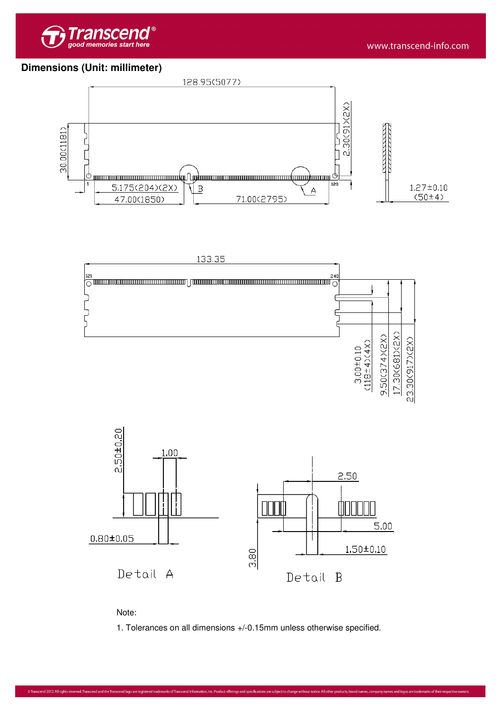

## **Dimensions (Unit: millimeter)**









1. Tolerances on all dimensions +/-0.15mm unless otherwise specified.